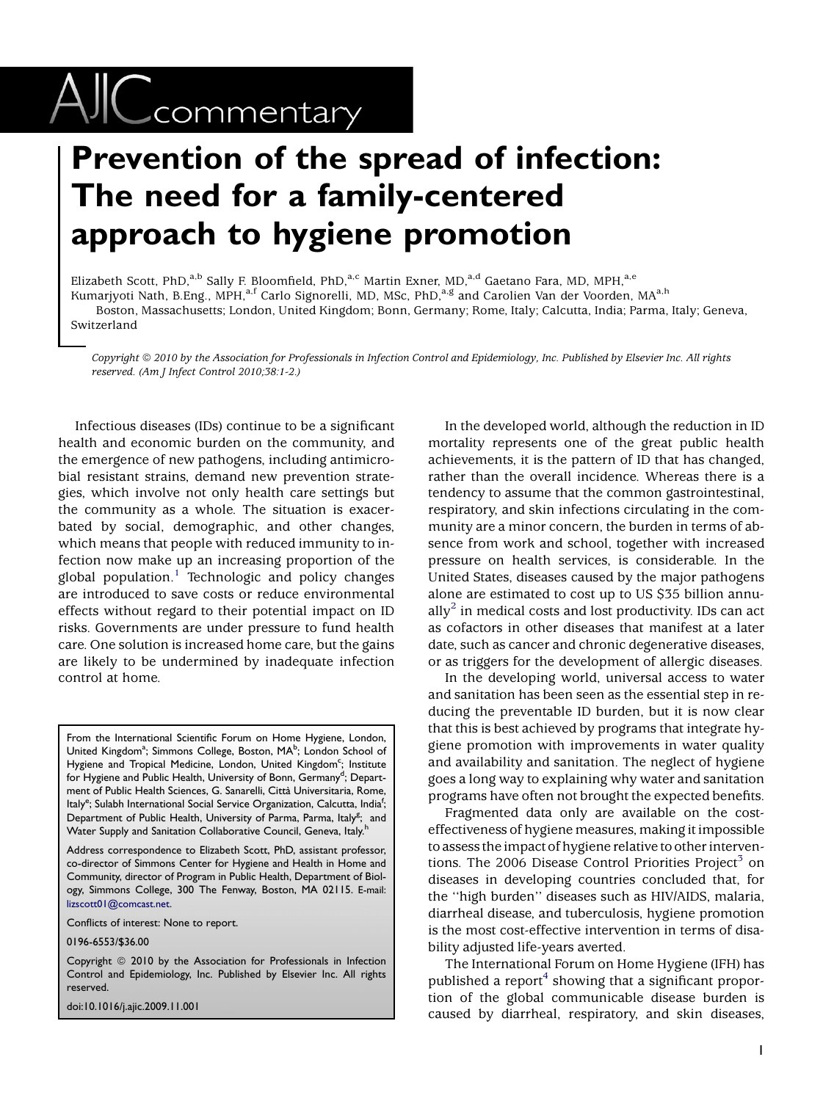## $\text{AIC}$ commentary

## Prevention of the spread of infection: The need for a family-centered approach to hygiene promotion

Elizabeth Scott, PhD,<sup>a,b</sup> Sally F. Bloomfield, PhD,<sup>a,c</sup> Martin Exner, MD,<sup>a,d</sup> Gaetano Fara, MD, MPH,<sup>a,e</sup>

Kumarjyoti Nath, B.Eng., MPH,<sup>a,f</sup> Carlo Signorelli, MD, MSc, PhD,<sup>a,g</sup> and Carolien Van der Voorden, MA<sup>a,h</sup>

Boston, Massachusetts; London, United Kingdom; Bonn, Germany; Rome, Italy; Calcutta, India; Parma, Italy; Geneva, Switzerland

Copyright @ 2010 by the Association for Professionals in Infection Control and Epidemiology, Inc. Published by Elsevier Inc. All rights reserved. (Am J Infect Control 2010;38:1-2.)

Infectious diseases (IDs) continue to be a significant health and economic burden on the community, and the emergence of new pathogens, including antimicrobial resistant strains, demand new prevention strategies, which involve not only health care settings but the community as a whole. The situation is exacerbated by social, demographic, and other changes, which means that people with reduced immunity to infection now make up an increasing proportion of the global population.<sup>[1](#page-1-0)</sup> Technologic and policy changes are introduced to save costs or reduce environmental effects without regard to their potential impact on ID risks. Governments are under pressure to fund health care. One solution is increased home care, but the gains are likely to be undermined by inadequate infection control at home.

From the International Scientific Forum on Home Hygiene, London, United Kingdom<sup>a</sup>; Simmons College, Boston, MA<sup>b</sup>; London School of Hygiene and Tropical Medicine, London, United Kingdom<sup>c</sup>; Institute for Hygiene and Public Health, University of Bonn, Germany<sup>d</sup>; Department of Public Health Sciences, G. Sanarelli, Città Universitaria, Rome, Italy<sup>e</sup>; Sulabh International Social Service Organization, Calcutta, India<sup>f</sup>; Department of Public Health, University of Parma, Parma, Italy<sup>g</sup>; and Water Supply and Sanitation Collaborative Council, Geneva, Italy.<sup>h</sup>

Address correspondence to Elizabeth Scott, PhD, assistant professor, co-director of Simmons Center for Hygiene and Health in Home and Community, director of Program in Public Health, Department of Biology, Simmons College, 300 The Fenway, Boston, MA 02115. E-mail: [lizscott01@comcast.net.](mailto:lizscott01@comcast.net)

Conflicts of interest: None to report.

0196-6553/\$36.00

Copyright © 2010 by the Association for Professionals in Infection Control and Epidemiology, Inc. Published by Elsevier Inc. All rights reserved.

doi:10.1016/j.ajic.2009.11.001

In the developed world, although the reduction in ID mortality represents one of the great public health achievements, it is the pattern of ID that has changed, rather than the overall incidence. Whereas there is a tendency to assume that the common gastrointestinal, respiratory, and skin infections circulating in the community are a minor concern, the burden in terms of absence from work and school, together with increased pressure on health services, is considerable. In the United States, diseases caused by the major pathogens alone are estimated to cost up to US \$35 billion annu-ally<sup>[2](#page-1-0)</sup> in medical costs and lost productivity. IDs can act as cofactors in other diseases that manifest at a later date, such as cancer and chronic degenerative diseases, or as triggers for the development of allergic diseases.

In the developing world, universal access to water and sanitation has been seen as the essential step in reducing the preventable ID burden, but it is now clear that this is best achieved by programs that integrate hygiene promotion with improvements in water quality and availability and sanitation. The neglect of hygiene goes a long way to explaining why water and sanitation programs have often not brought the expected benefits.

Fragmented data only are available on the costeffectiveness of hygiene measures, making it impossible to assess the impact of hygiene relative to other interventions. The 2006 Disease Control Priorities Project<sup>3</sup> on diseases in developing countries concluded that, for the ''high burden'' diseases such as HIV/AIDS, malaria, diarrheal disease, and tuberculosis, hygiene promotion is the most cost-effective intervention in terms of disability adjusted life-years averted.

The International Forum on Home Hygiene (IFH) has published a report<sup>[4](#page-1-0)</sup> showing that a significant proportion of the global communicable disease burden is caused by diarrheal, respiratory, and skin diseases,